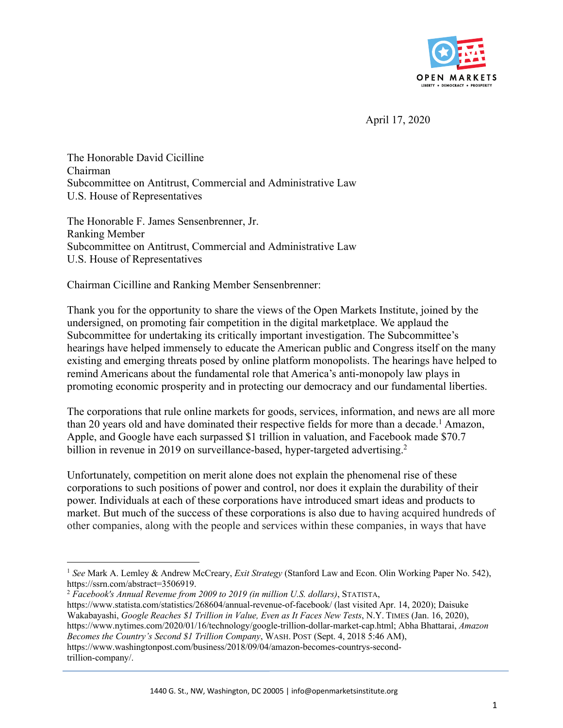

April 17, 2020

The Honorable David Cicilline Chairman Subcommittee on Antitrust, Commercial and Administrative Law U.S. House of Representatives

The Honorable F. James Sensenbrenner, Jr. Ranking Member Subcommittee on Antitrust, Commercial and Administrative Law U.S. House of Representatives

Chairman Cicilline and Ranking Member Sensenbrenner:

Thank you for the opportunity to share the views of the Open Markets Institute, joined by the undersigned, on promoting fair competition in the digital marketplace. We applaud the Subcommittee for undertaking its critically important investigation. The Subcommittee's hearings have helped immensely to educate the American public and Congress itself on the many existing and emerging threats posed by online platform monopolists. The hearings have helped to remind Americans about the fundamental role that America's anti-monopoly law plays in promoting economic prosperity and in protecting our democracy and our fundamental liberties.

The corporations that rule online markets for goods, services, information, and news are all more than 20 years old and have dominated their respective fields for more than a decade.<sup>1</sup> Amazon, Apple, and Google have each surpassed \$1 trillion in valuation, and Facebook made \$70.7 billion in revenue in 2019 on surveillance-based, hyper-targeted advertising.<sup>2</sup>

Unfortunately, competition on merit alone does not explain the phenomenal rise of these corporations to such positions of power and control, nor does it explain the durability of their power. Individuals at each of these corporations have introduced smart ideas and products to market. But much of the success of these corporations is also due to having acquired hundreds of other companies, along with the people and services within these companies, in ways that have

<sup>1</sup> *See* Mark A. Lemley & Andrew McCreary, *Exit Strategy* (Stanford Law and Econ. Olin Working Paper No. 542), https://ssrn.com/abstract=3506919.

<sup>2</sup> *Facebook's Annual Revenue from 2009 to 2019 (in million U.S. dollars)*, STATISTA,

https://www.statista.com/statistics/268604/annual-revenue-of-facebook/ (last visited Apr. 14, 2020); Daisuke Wakabayashi, *Google Reaches \$1 Trillion in Value, Even as It Faces New Tests*, N.Y. TIMES (Jan. 16, 2020), https://www.nytimes.com/2020/01/16/technology/google-trillion-dollar-market-cap.html; Abha Bhattarai, *Amazon Becomes the Country's Second \$1 Trillion Company*, WASH. POST (Sept. 4, 2018 5:46 AM), https://www.washingtonpost.com/business/2018/09/04/amazon-becomes-countrys-secondtrillion-company/.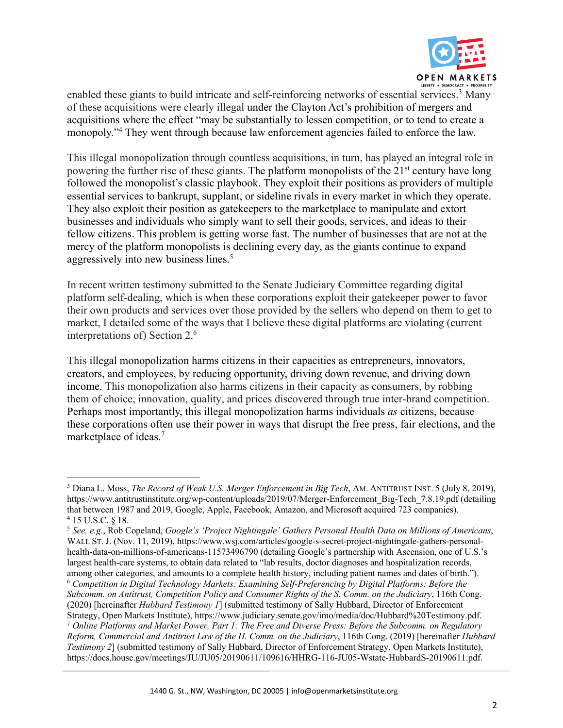

enabled these giants to build intricate and self-reinforcing networks of essential services.<sup>3</sup> Many of these acquisitions were clearly illegal under the Clayton Act's prohibition of mergers and acquisitions where the effect "may be substantially to lessen competition, or to tend to create a monopoly."4 They went through because law enforcement agencies failed to enforce the law.

This illegal monopolization through countless acquisitions, in turn, has played an integral role in powering the further rise of these giants. The platform monopolists of the  $21<sup>st</sup>$  century have long followed the monopolist's classic playbook. They exploit their positions as providers of multiple essential services to bankrupt, supplant, or sideline rivals in every market in which they operate. They also exploit their position as gatekeepers to the marketplace to manipulate and extort businesses and individuals who simply want to sell their goods, services, and ideas to their fellow citizens. This problem is getting worse fast. The number of businesses that are not at the mercy of the platform monopolists is declining every day, as the giants continue to expand aggressively into new business lines.<sup>5</sup>

In recent written testimony submitted to the Senate Judiciary Committee regarding digital platform self-dealing, which is when these corporations exploit their gatekeeper power to favor their own products and services over those provided by the sellers who depend on them to get to market, I detailed some of the ways that I believe these digital platforms are violating (current interpretations of) Section 2.6

This illegal monopolization harms citizens in their capacities as entrepreneurs, innovators, creators, and employees, by reducing opportunity, driving down revenue, and driving down income. This monopolization also harms citizens in their capacity as consumers, by robbing them of choice, innovation, quality, and prices discovered through true inter-brand competition. Perhaps most importantly, this illegal monopolization harms individuals *as* citizens, because these corporations often use their power in ways that disrupt the free press, fair elections, and the marketplace of ideas.7

<sup>3</sup> Diana L. Moss, *The Record of Weak U.S. Merger Enforcement in Big Tech*, AM. ANTITRUST INST. 5 (July 8, 2019), https://www.antitrustinstitute.org/wp-content/uploads/2019/07/Merger-Enforcement\_Big-Tech\_7.8.19.pdf (detailing that between 1987 and 2019, Google, Apple, Facebook, Amazon, and Microsoft acquired 723 companies). <sup>4</sup> 15 U.S.C. § 18.

<sup>5</sup> *See, e.g.*, Rob Copeland, *Google's 'Project Nightingale' Gathers Personal Health Data on Millions of Americans*, WALL ST. J. (Nov. 11, 2019), https://www.wsj.com/articles/google-s-secret-project-nightingale-gathers-personalhealth-data-on-millions-of-americans-11573496790 (detailing Google's partnership with Ascension, one of U.S.'s largest health-care systems, to obtain data related to "lab results, doctor diagnoses and hospitalization records, among other categories, and amounts to a complete health history, including patient names and dates of birth."). <sup>6</sup> *Competition in Digital Technology Markets: Examining Self-Preferencing by Digital Platforms: Before the Subcomm. on Antitrust, Competition Policy and Consumer Rights of the S. Comm. on the Judiciary*, 116th Cong. (2020) [hereinafter *Hubbard Testimony 1*] (submitted testimony of Sally Hubbard, Director of Enforcement Strategy, Open Markets Institute), https://www.judiciary.senate.gov/imo/media/doc/Hubbard%20Testimony.pdf.

<sup>7</sup> *Online Platforms and Market Power, Part 1: The Free and Diverse Press: Before the Subcomm. on Regulatory Reform, Commercial and Antitrust Law of the H. Comm. on the Judiciary*, 116th Cong. (2019) [hereinafter *Hubbard Testimony 2*] (submitted testimony of Sally Hubbard, Director of Enforcement Strategy, Open Markets Institute), https://docs.house.gov/meetings/JU/JU05/20190611/109616/HHRG-116-JU05-Wstate-HubbardS-20190611.pdf.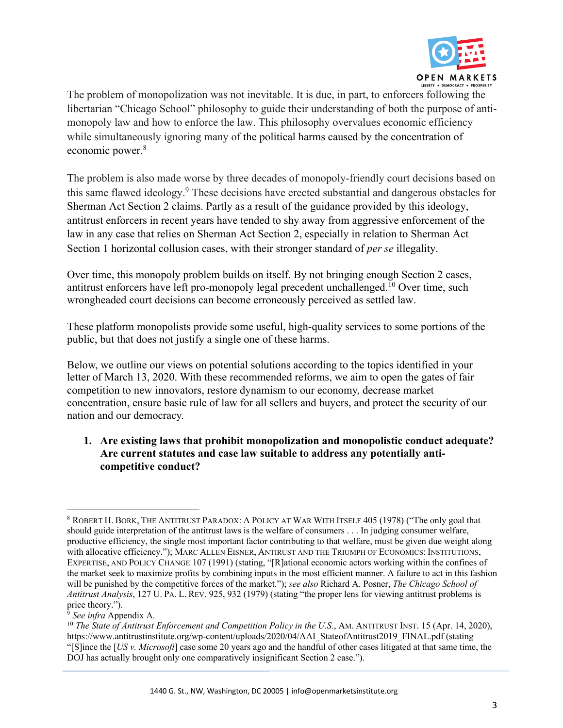

The problem of monopolization was not inevitable. It is due, in part, to enforcers following the libertarian "Chicago School" philosophy to guide their understanding of both the purpose of antimonopoly law and how to enforce the law. This philosophy overvalues economic efficiency while simultaneously ignoring many of the political harms caused by the concentration of economic power.<sup>8</sup>

The problem is also made worse by three decades of monopoly-friendly court decisions based on this same flawed ideology.9 These decisions have erected substantial and dangerous obstacles for Sherman Act Section 2 claims. Partly as a result of the guidance provided by this ideology, antitrust enforcers in recent years have tended to shy away from aggressive enforcement of the law in any case that relies on Sherman Act Section 2, especially in relation to Sherman Act Section 1 horizontal collusion cases, with their stronger standard of *per se* illegality.

Over time, this monopoly problem builds on itself. By not bringing enough Section 2 cases, antitrust enforcers have left pro-monopoly legal precedent unchallenged.<sup>10</sup> Over time, such wrongheaded court decisions can become erroneously perceived as settled law.

These platform monopolists provide some useful, high-quality services to some portions of the public, but that does not justify a single one of these harms.

Below, we outline our views on potential solutions according to the topics identified in your letter of March 13, 2020. With these recommended reforms, we aim to open the gates of fair competition to new innovators, restore dynamism to our economy, decrease market concentration, ensure basic rule of law for all sellers and buyers, and protect the security of our nation and our democracy.

**1. Are existing laws that prohibit monopolization and monopolistic conduct adequate? Are current statutes and case law suitable to address any potentially anticompetitive conduct?**

<sup>8</sup> ROBERT H. BORK, THE ANTITRUST PARADOX: A POLICY AT WAR WITH ITSELF 405 (1978) ("The only goal that should guide interpretation of the antitrust laws is the welfare of consumers . . . In judging consumer welfare, productive efficiency, the single most important factor contributing to that welfare, must be given due weight along with allocative efficiency."); MARC ALLEN EISNER, ANTIRUST AND THE TRIUMPH OF ECONOMICS: INSTITUTIONS, EXPERTISE, AND POLICY CHANGE 107 (1991) (stating, "[R]ational economic actors working within the confines of the market seek to maximize profits by combining inputs in the most efficient manner. A failure to act in this fashion will be punished by the competitive forces of the market."); *see also* Richard A. Posner, *The Chicago School of Antitrust Analysis*, 127 U. PA. L. REV. 925, 932 (1979) (stating "the proper lens for viewing antitrust problems is price theory.").

<sup>9</sup> *See infra* Appendix A.

<sup>10</sup> *The State of Antitrust Enforcement and Competition Policy in the U.S.*, AM. ANTITRUST INST. 15 (Apr. 14, 2020), https://www.antitrustinstitute.org/wp-content/uploads/2020/04/AAI\_StateofAntitrust2019\_FINAL.pdf (stating "[S]ince the [*US v. Microsoft*] case some 20 years ago and the handful of other cases litigated at that same time, the DOJ has actually brought only one comparatively insignificant Section 2 case.").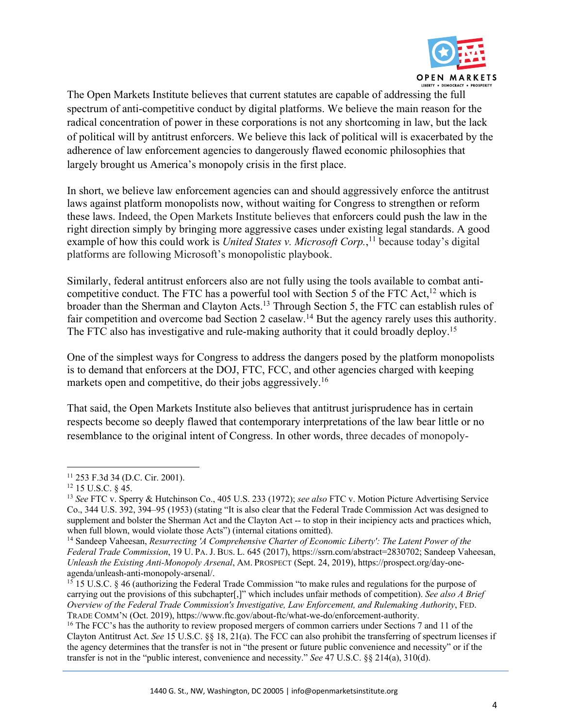

The Open Markets Institute believes that current statutes are capable of addressing the full spectrum of anti-competitive conduct by digital platforms. We believe the main reason for the radical concentration of power in these corporations is not any shortcoming in law, but the lack of political will by antitrust enforcers. We believe this lack of political will is exacerbated by the adherence of law enforcement agencies to dangerously flawed economic philosophies that largely brought us America's monopoly crisis in the first place.

In short, we believe law enforcement agencies can and should aggressively enforce the antitrust laws against platform monopolists now, without waiting for Congress to strengthen or reform these laws. Indeed, the Open Markets Institute believes that enforcers could push the law in the right direction simply by bringing more aggressive cases under existing legal standards. A good example of how this could work is *United States v. Microsoft Corp.*,<sup>11</sup> because today's digital platforms are following Microsoft's monopolistic playbook.

Similarly, federal antitrust enforcers also are not fully using the tools available to combat anticompetitive conduct. The FTC has a powerful tool with Section 5 of the FTC Act,<sup>12</sup> which is broader than the Sherman and Clayton Acts.13 Through Section 5, the FTC can establish rules of fair competition and overcome bad Section 2 caselaw.<sup>14</sup> But the agency rarely uses this authority. The FTC also has investigative and rule-making authority that it could broadly deploy.<sup>15</sup>

One of the simplest ways for Congress to address the dangers posed by the platform monopolists is to demand that enforcers at the DOJ, FTC, FCC, and other agencies charged with keeping markets open and competitive, do their jobs aggressively.<sup>16</sup>

That said, the Open Markets Institute also believes that antitrust jurisprudence has in certain respects become so deeply flawed that contemporary interpretations of the law bear little or no resemblance to the original intent of Congress. In other words, three decades of monopoly-

<sup>11</sup> 253 F.3d 34 (D.C. Cir. 2001).

<sup>12</sup> 15 U.S.C. § 45. 13 *See* FTC v. Sperry & Hutchinson Co., 405 U.S. 233 (1972); *see also* FTC v. Motion Picture Advertising Service Co., 344 U.S. 392, 394–95 (1953) (stating "It is also clear that the Federal Trade Commission Act was designed to supplement and bolster the Sherman Act and the Clayton Act -- to stop in their incipiency acts and practices which, when full blown, would violate those Acts") (internal citations omitted).

<sup>14</sup> Sandeep Vaheesan, *Resurrecting 'A Comprehensive Charter of Economic Liberty': The Latent Power of the Federal Trade Commission*, 19 U. PA. J. BUS. L. 645 (2017), https://ssrn.com/abstract=2830702; Sandeep Vaheesan, *Unleash the Existing Anti-Monopoly Arsenal*, AM. PROSPECT (Sept. 24, 2019), https://prospect.org/day-oneagenda/unleash-anti-monopoly-arsenal/.

<sup>15</sup> 15 U.S.C. § 46 (authorizing the Federal Trade Commission "to make rules and regulations for the purpose of carrying out the provisions of this subchapter[,]" which includes unfair methods of competition). *See also A Brief Overview of the Federal Trade Commission's Investigative, Law Enforcement, and Rulemaking Authority*, FED. TRADE COMM'N (Oct. 2019), https://www.ftc.gov/about-ftc/what-we-do/enforcement-authority.

<sup>&</sup>lt;sup>16</sup> The FCC's has the authority to review proposed mergers of common carriers under Sections 7 and 11 of the Clayton Antitrust Act. *See* 15 U.S.C. §§ 18, 21(a). The FCC can also prohibit the transferring of spectrum licenses if the agency determines that the transfer is not in "the present or future public convenience and necessity" or if the transfer is not in the "public interest, convenience and necessity." *See* 47 U.S.C. §§ 214(a), 310(d).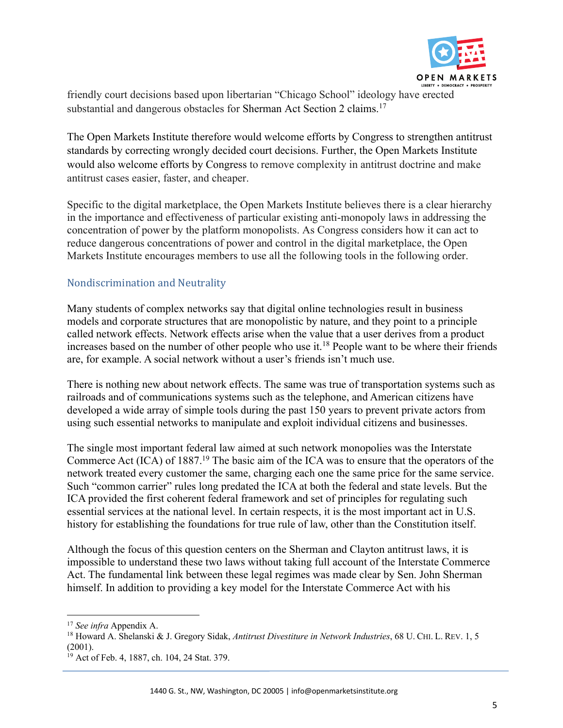

friendly court decisions based upon libertarian "Chicago School" ideology have erected substantial and dangerous obstacles for Sherman Act Section 2 claims.<sup>17</sup>

The Open Markets Institute therefore would welcome efforts by Congress to strengthen antitrust standards by correcting wrongly decided court decisions. Further, the Open Markets Institute would also welcome efforts by Congress to remove complexity in antitrust doctrine and make antitrust cases easier, faster, and cheaper.

Specific to the digital marketplace, the Open Markets Institute believes there is a clear hierarchy in the importance and effectiveness of particular existing anti-monopoly laws in addressing the concentration of power by the platform monopolists. As Congress considers how it can act to reduce dangerous concentrations of power and control in the digital marketplace, the Open Markets Institute encourages members to use all the following tools in the following order.

# Nondiscrimination and Neutrality

Many students of complex networks say that digital online technologies result in business models and corporate structures that are monopolistic by nature, and they point to a principle called network effects. Network effects arise when the value that a user derives from a product increases based on the number of other people who use it.<sup>18</sup> People want to be where their friends are, for example. A social network without a user's friends isn't much use.

There is nothing new about network effects. The same was true of transportation systems such as railroads and of communications systems such as the telephone, and American citizens have developed a wide array of simple tools during the past 150 years to prevent private actors from using such essential networks to manipulate and exploit individual citizens and businesses.

The single most important federal law aimed at such network monopolies was the Interstate Commerce Act (ICA) of 1887.19 The basic aim of the ICA was to ensure that the operators of the network treated every customer the same, charging each one the same price for the same service. Such "common carrier" rules long predated the ICA at both the federal and state levels. But the ICA provided the first coherent federal framework and set of principles for regulating such essential services at the national level. In certain respects, it is the most important act in U.S. history for establishing the foundations for true rule of law, other than the Constitution itself.

Although the focus of this question centers on the Sherman and Clayton antitrust laws, it is impossible to understand these two laws without taking full account of the Interstate Commerce Act. The fundamental link between these legal regimes was made clear by Sen. John Sherman himself. In addition to providing a key model for the Interstate Commerce Act with his

<sup>17</sup> *See infra* Appendix A.

<sup>18</sup> Howard A. Shelanski & J. Gregory Sidak, *Antitrust Divestiture in Network Industries*, 68 U. CHI. L. REV. 1, 5 (2001).

<sup>&</sup>lt;sup>19</sup> Act of Feb. 4, 1887, ch. 104, 24 Stat. 379.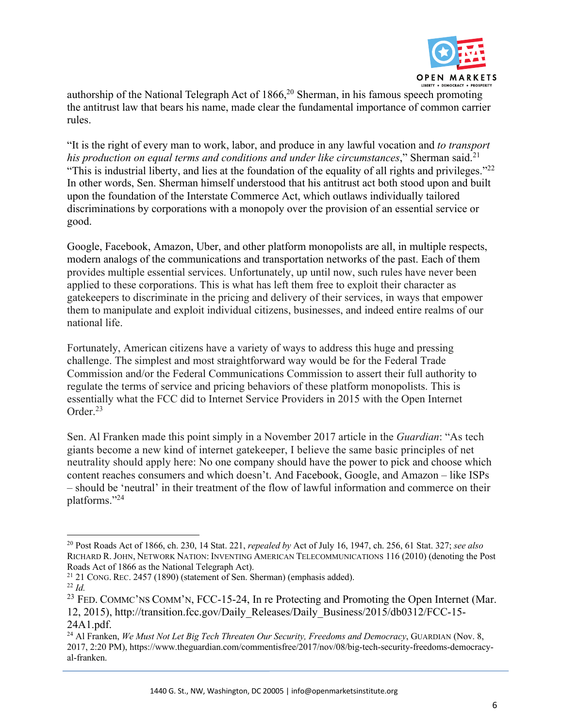

authorship of the National Telegraph Act of  $1866$ <sup>20</sup> Sherman, in his famous speech promoting the antitrust law that bears his name, made clear the fundamental importance of common carrier rules.

"It is the right of every man to work, labor, and produce in any lawful vocation and *to transport*  his production on equal terms and conditions and under like circumstances," Sherman said.<sup>21</sup> "This is industrial liberty, and lies at the foundation of the equality of all rights and privileges."22 In other words, Sen. Sherman himself understood that his antitrust act both stood upon and built upon the foundation of the Interstate Commerce Act, which outlaws individually tailored discriminations by corporations with a monopoly over the provision of an essential service or good.

Google, Facebook, Amazon, Uber, and other platform monopolists are all, in multiple respects, modern analogs of the communications and transportation networks of the past. Each of them provides multiple essential services. Unfortunately, up until now, such rules have never been applied to these corporations. This is what has left them free to exploit their character as gatekeepers to discriminate in the pricing and delivery of their services, in ways that empower them to manipulate and exploit individual citizens, businesses, and indeed entire realms of our national life.

Fortunately, American citizens have a variety of ways to address this huge and pressing challenge. The simplest and most straightforward way would be for the Federal Trade Commission and/or the Federal Communications Commission to assert their full authority to regulate the terms of service and pricing behaviors of these platform monopolists. This is essentially what the FCC did to Internet Service Providers in 2015 with the Open Internet Order.23

Sen. Al Franken made this point simply in a November 2017 article in the *Guardian*: "As tech giants become a new kind of internet gatekeeper, I believe the same basic principles of net neutrality should apply here: No one company should have the power to pick and choose which content reaches consumers and which doesn't. And Facebook, Google, and Amazon – like ISPs – should be 'neutral' in their treatment of the flow of lawful information and commerce on their platforms."24

<sup>20</sup> Post Roads Act of 1866, ch. 230, 14 Stat. 221, *repealed by* Act of July 16, 1947, ch. 256, 61 Stat. 327; *see also* RICHARD R. JOHN, NETWORK NATION: INVENTING AMERICAN TELECOMMUNICATIONS 116 (2010) (denoting the Post Roads Act of 1866 as the National Telegraph Act).

 $21$  21 CONG. REC. 2457 (1890) (statement of Sen. Sherman) (emphasis added). <sup>22</sup> *Id.*

<sup>&</sup>lt;sup>23</sup> FED. COMMC'NS COMM'N, FCC-15-24, In re Protecting and Promoting the Open Internet (Mar. 12, 2015), http://transition.fcc.gov/Daily\_Releases/Daily\_Business/2015/db0312/FCC-15- 24A1.pdf.

<sup>&</sup>lt;sup>24</sup> Al Franken, *We Must Not Let Big Tech Threaten Our Security, Freedoms and Democracy*, GUARDIAN (Nov. 8, 2017, 2:20 PM), https://www.theguardian.com/commentisfree/2017/nov/08/big-tech-security-freedoms-democracyal-franken.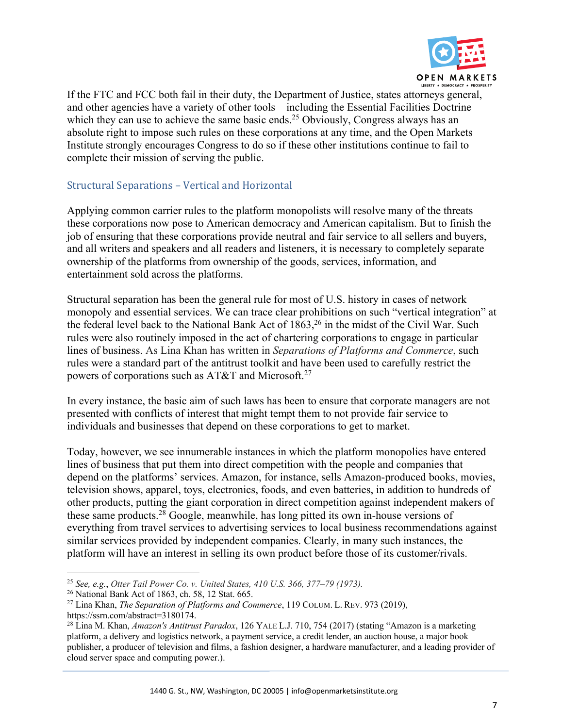

If the FTC and FCC both fail in their duty, the Department of Justice, states attorneys general, and other agencies have a variety of other tools – including the Essential Facilities Doctrine – which they can use to achieve the same basic ends.<sup>25</sup> Obviously, Congress always has an absolute right to impose such rules on these corporations at any time, and the Open Markets Institute strongly encourages Congress to do so if these other institutions continue to fail to complete their mission of serving the public.

# Structural Separations - Vertical and Horizontal

Applying common carrier rules to the platform monopolists will resolve many of the threats these corporations now pose to American democracy and American capitalism. But to finish the job of ensuring that these corporations provide neutral and fair service to all sellers and buyers, and all writers and speakers and all readers and listeners, it is necessary to completely separate ownership of the platforms from ownership of the goods, services, information, and entertainment sold across the platforms.

Structural separation has been the general rule for most of U.S. history in cases of network monopoly and essential services. We can trace clear prohibitions on such "vertical integration" at the federal level back to the National Bank Act of  $1863$ ,<sup>26</sup> in the midst of the Civil War. Such rules were also routinely imposed in the act of chartering corporations to engage in particular lines of business. As Lina Khan has written in *Separations of Platforms and Commerce*, such rules were a standard part of the antitrust toolkit and have been used to carefully restrict the powers of corporations such as AT&T and Microsoft.<sup>27</sup>

In every instance, the basic aim of such laws has been to ensure that corporate managers are not presented with conflicts of interest that might tempt them to not provide fair service to individuals and businesses that depend on these corporations to get to market.

Today, however, we see innumerable instances in which the platform monopolies have entered lines of business that put them into direct competition with the people and companies that depend on the platforms' services. Amazon, for instance, sells Amazon-produced books, movies, television shows, apparel, toys, electronics, foods, and even batteries, in addition to hundreds of other products, putting the giant corporation in direct competition against independent makers of these same products.28 Google, meanwhile, has long pitted its own in-house versions of everything from travel services to advertising services to local business recommendations against similar services provided by independent companies. Clearly, in many such instances, the platform will have an interest in selling its own product before those of its customer/rivals.

<sup>25</sup> *See, e.g.*, *Otter Tail Power Co. v. United States, 410 U.S. 366, 377–79 (1973).*

<sup>26</sup> National Bank Act of 1863, ch. 58, 12 Stat. 665.

<sup>27</sup> Lina Khan, *The Separation of Platforms and Commerce*, 119 COLUM. L. REV. 973 (2019), https://ssrn.com/abstract=3180174.

<sup>28</sup> Lina M. Khan, *Amazon's Antitrust Paradox*, 126 YALE L.J. 710, 754 (2017) (stating "Amazon is a marketing platform, a delivery and logistics network, a payment service, a credit lender, an auction house, a major book publisher, a producer of television and films, a fashion designer, a hardware manufacturer, and a leading provider of cloud server space and computing power.).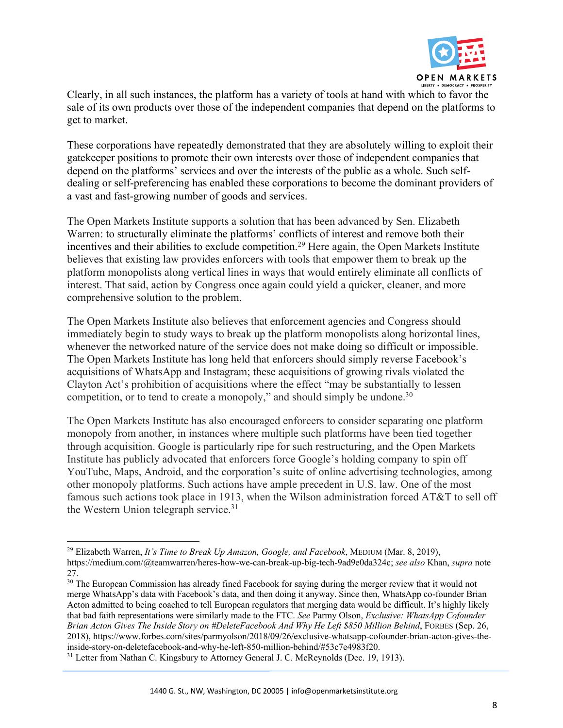

Clearly, in all such instances, the platform has a variety of tools at hand with which to favor the sale of its own products over those of the independent companies that depend on the platforms to get to market.

These corporations have repeatedly demonstrated that they are absolutely willing to exploit their gatekeeper positions to promote their own interests over those of independent companies that depend on the platforms' services and over the interests of the public as a whole. Such selfdealing or self-preferencing has enabled these corporations to become the dominant providers of a vast and fast-growing number of goods and services.

The Open Markets Institute supports a solution that has been advanced by Sen. Elizabeth Warren: to structurally eliminate the platforms' conflicts of interest and remove both their incentives and their abilities to exclude competition.<sup>29</sup> Here again, the Open Markets Institute believes that existing law provides enforcers with tools that empower them to break up the platform monopolists along vertical lines in ways that would entirely eliminate all conflicts of interest. That said, action by Congress once again could yield a quicker, cleaner, and more comprehensive solution to the problem.

The Open Markets Institute also believes that enforcement agencies and Congress should immediately begin to study ways to break up the platform monopolists along horizontal lines, whenever the networked nature of the service does not make doing so difficult or impossible. The Open Markets Institute has long held that enforcers should simply reverse Facebook's acquisitions of WhatsApp and Instagram; these acquisitions of growing rivals violated the Clayton Act's prohibition of acquisitions where the effect "may be substantially to lessen competition, or to tend to create a monopoly," and should simply be undone.<sup>30</sup>

The Open Markets Institute has also encouraged enforcers to consider separating one platform monopoly from another, in instances where multiple such platforms have been tied together through acquisition. Google is particularly ripe for such restructuring, and the Open Markets Institute has publicly advocated that enforcers force Google's holding company to spin off YouTube, Maps, Android, and the corporation's suite of online advertising technologies, among other monopoly platforms. Such actions have ample precedent in U.S. law. One of the most famous such actions took place in 1913, when the Wilson administration forced AT&T to sell off the Western Union telegraph service.<sup>31</sup>

<sup>29</sup> Elizabeth Warren, *It's Time to Break Up Amazon, Google, and Facebook*, MEDIUM (Mar. 8, 2019), https://medium.com/@teamwarren/heres-how-we-can-break-up-big-tech-9ad9e0da324c; *see also* Khan, *supra* note 27.

<sup>&</sup>lt;sup>30</sup> The European Commission has already fined Facebook for saying during the merger review that it would not merge WhatsApp's data with Facebook's data, and then doing it anyway. Since then, WhatsApp co-founder Brian Acton admitted to being coached to tell European regulators that merging data would be difficult. It's highly likely that bad faith representations were similarly made to the FTC. *See* Parmy Olson, *Exclusive: WhatsApp Cofounder Brian Acton Gives The Inside Story on #DeleteFacebook And Why He Left \$850 Million Behind*, FORBES (Sep. 26, 2018), https://www.forbes.com/sites/parmyolson/2018/09/26/exclusive-whatsapp-cofounder-brian-acton-gives-theinside-story-on-deletefacebook-and-why-he-left-850-million-behind/#53c7e4983f20.

<sup>&</sup>lt;sup>31</sup> Letter from Nathan C. Kingsbury to Attorney General J. C. McReynolds (Dec. 19, 1913).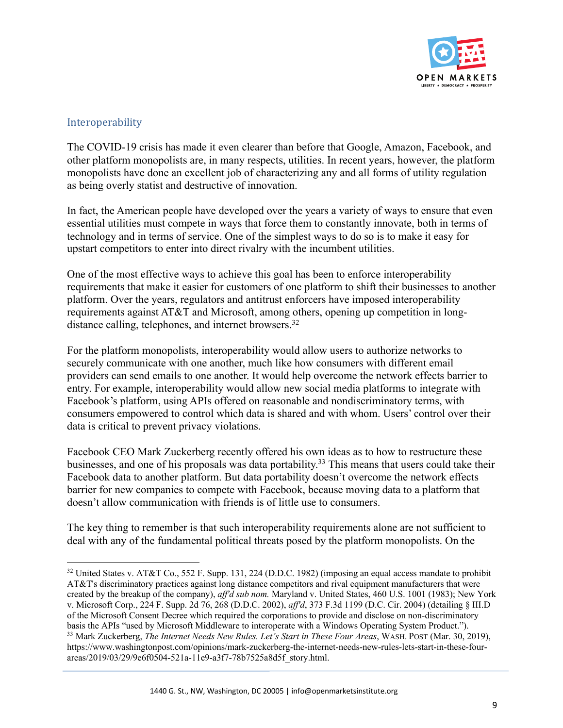

#### Interoperability

The COVID-19 crisis has made it even clearer than before that Google, Amazon, Facebook, and other platform monopolists are, in many respects, utilities. In recent years, however, the platform monopolists have done an excellent job of characterizing any and all forms of utility regulation as being overly statist and destructive of innovation.

In fact, the American people have developed over the years a variety of ways to ensure that even essential utilities must compete in ways that force them to constantly innovate, both in terms of technology and in terms of service. One of the simplest ways to do so is to make it easy for upstart competitors to enter into direct rivalry with the incumbent utilities.

One of the most effective ways to achieve this goal has been to enforce interoperability requirements that make it easier for customers of one platform to shift their businesses to another platform. Over the years, regulators and antitrust enforcers have imposed interoperability requirements against AT&T and Microsoft, among others, opening up competition in longdistance calling, telephones, and internet browsers.<sup>32</sup>

For the platform monopolists, interoperability would allow users to authorize networks to securely communicate with one another, much like how consumers with different email providers can send emails to one another. It would help overcome the network effects barrier to entry. For example, interoperability would allow new social media platforms to integrate with Facebook's platform, using APIs offered on reasonable and nondiscriminatory terms, with consumers empowered to control which data is shared and with whom. Users' control over their data is critical to prevent privacy violations.

Facebook CEO Mark Zuckerberg recently offered his own ideas as to how to restructure these businesses, and one of his proposals was data portability.33 This means that users could take their Facebook data to another platform. But data portability doesn't overcome the network effects barrier for new companies to compete with Facebook, because moving data to a platform that doesn't allow communication with friends is of little use to consumers.

The key thing to remember is that such interoperability requirements alone are not sufficient to deal with any of the fundamental political threats posed by the platform monopolists. On the

<sup>&</sup>lt;sup>32</sup> United States v. AT&T Co., 552 F. Supp. 131, 224 (D.D.C. 1982) (imposing an equal access mandate to prohibit AT&T's discriminatory practices against long distance competitors and rival equipment manufacturers that were created by the breakup of the company), *aff'd sub nom.* Maryland v. United States, 460 U.S. 1001 (1983); New York v. Microsoft Corp., 224 F. Supp. 2d 76, 268 (D.D.C. 2002), *aff'd*, 373 F.3d 1199 (D.C. Cir. 2004) (detailing § III.D of the Microsoft Consent Decree which required the corporations to provide and disclose on non-discriminatory basis the APIs "used by Microsoft Middleware to interoperate with a Windows Operating System Product."). <sup>33</sup> Mark Zuckerberg, *The Internet Needs New Rules. Let's Start in These Four Areas*, WASH. POST (Mar. 30, 2019), https://www.washingtonpost.com/opinions/mark-zuckerberg-the-internet-needs-new-rules-lets-start-in-these-fourareas/2019/03/29/9e6f0504-521a-11e9-a3f7-78b7525a8d5f\_story.html.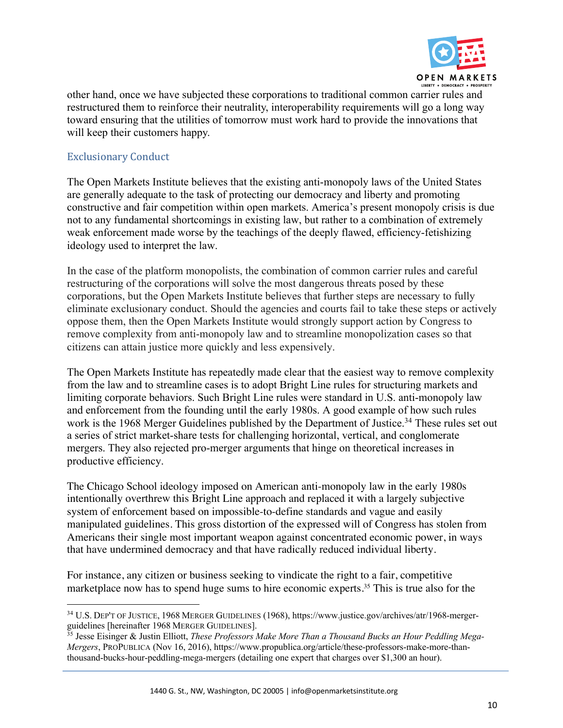

other hand, once we have subjected these corporations to traditional common carrier rules and restructured them to reinforce their neutrality, interoperability requirements will go a long way toward ensuring that the utilities of tomorrow must work hard to provide the innovations that will keep their customers happy.

# Exclusionary Conduct

The Open Markets Institute believes that the existing anti-monopoly laws of the United States are generally adequate to the task of protecting our democracy and liberty and promoting constructive and fair competition within open markets. America's present monopoly crisis is due not to any fundamental shortcomings in existing law, but rather to a combination of extremely weak enforcement made worse by the teachings of the deeply flawed, efficiency-fetishizing ideology used to interpret the law.

In the case of the platform monopolists, the combination of common carrier rules and careful restructuring of the corporations will solve the most dangerous threats posed by these corporations, but the Open Markets Institute believes that further steps are necessary to fully eliminate exclusionary conduct. Should the agencies and courts fail to take these steps or actively oppose them, then the Open Markets Institute would strongly support action by Congress to remove complexity from anti-monopoly law and to streamline monopolization cases so that citizens can attain justice more quickly and less expensively.

The Open Markets Institute has repeatedly made clear that the easiest way to remove complexity from the law and to streamline cases is to adopt Bright Line rules for structuring markets and limiting corporate behaviors. Such Bright Line rules were standard in U.S. anti-monopoly law and enforcement from the founding until the early 1980s. A good example of how such rules work is the 1968 Merger Guidelines published by the Department of Justice.<sup>34</sup> These rules set out a series of strict market-share tests for challenging horizontal, vertical, and conglomerate mergers. They also rejected pro-merger arguments that hinge on theoretical increases in productive efficiency.

The Chicago School ideology imposed on American anti-monopoly law in the early 1980s intentionally overthrew this Bright Line approach and replaced it with a largely subjective system of enforcement based on impossible-to-define standards and vague and easily manipulated guidelines. This gross distortion of the expressed will of Congress has stolen from Americans their single most important weapon against concentrated economic power, in ways that have undermined democracy and that have radically reduced individual liberty.

For instance, any citizen or business seeking to vindicate the right to a fair, competitive marketplace now has to spend huge sums to hire economic experts.<sup>35</sup> This is true also for the

<sup>34</sup> U.S. DEP'T OF JUSTICE, 1968 MERGER GUIDELINES (1968), https://www.justice.gov/archives/atr/1968-mergerguidelines [hereinafter 1968 MERGER GUIDELINES].

<sup>35</sup> Jesse Eisinger & Justin Elliott, *These Professors Make More Than a Thousand Bucks an Hour Peddling Mega-Mergers*, PROPUBLICA (Nov 16, 2016), https://www.propublica.org/article/these-professors-make-more-thanthousand-bucks-hour-peddling-mega-mergers (detailing one expert that charges over \$1,300 an hour).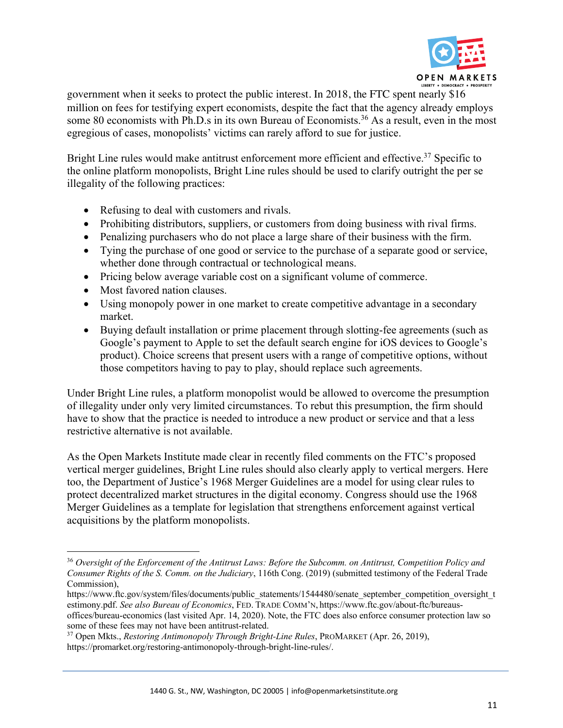

government when it seeks to protect the public interest. In 2018, the FTC spent nearly \$16 million on fees for testifying expert economists, despite the fact that the agency already employs some 80 economists with Ph.D.s in its own Bureau of Economists.<sup>36</sup> As a result, even in the most egregious of cases, monopolists' victims can rarely afford to sue for justice.

Bright Line rules would make antitrust enforcement more efficient and effective.<sup>37</sup> Specific to the online platform monopolists, Bright Line rules should be used to clarify outright the per se illegality of the following practices:

- Refusing to deal with customers and rivals.
- Prohibiting distributors, suppliers, or customers from doing business with rival firms.
- Penalizing purchasers who do not place a large share of their business with the firm.
- Tying the purchase of one good or service to the purchase of a separate good or service, whether done through contractual or technological means.
- Pricing below average variable cost on a significant volume of commerce.
- Most favored nation clauses.
- Using monopoly power in one market to create competitive advantage in a secondary market.
- Buying default installation or prime placement through slotting-fee agreements (such as Google's payment to Apple to set the default search engine for iOS devices to Google's product). Choice screens that present users with a range of competitive options, without those competitors having to pay to play, should replace such agreements.

Under Bright Line rules, a platform monopolist would be allowed to overcome the presumption of illegality under only very limited circumstances. To rebut this presumption, the firm should have to show that the practice is needed to introduce a new product or service and that a less restrictive alternative is not available.

As the Open Markets Institute made clear in recently filed comments on the FTC's proposed vertical merger guidelines, Bright Line rules should also clearly apply to vertical mergers. Here too, the Department of Justice's 1968 Merger Guidelines are a model for using clear rules to protect decentralized market structures in the digital economy. Congress should use the 1968 Merger Guidelines as a template for legislation that strengthens enforcement against vertical acquisitions by the platform monopolists.

<sup>36</sup> *Oversight of the Enforcement of the Antitrust Laws: Before the Subcomm. on Antitrust, Competition Policy and Consumer Rights of the S. Comm. on the Judiciary*, 116th Cong. (2019) (submitted testimony of the Federal Trade Commission),

https://www.ftc.gov/system/files/documents/public\_statements/1544480/senate\_september\_competition\_oversight\_t\_ estimony.pdf. *See also Bureau of Economics*, FED. TRADE COMM'N, https://www.ftc.gov/about-ftc/bureausoffices/bureau-economics (last visited Apr. 14, 2020). Note, the FTC does also enforce consumer protection law so some of these fees may not have been antitrust-related. 37 Open Mkts., *Restoring Antimonopoly Through Bright-Line Rules*, PROMARKET (Apr. 26, 2019),

https://promarket.org/restoring-antimonopoly-through-bright-line-rules/.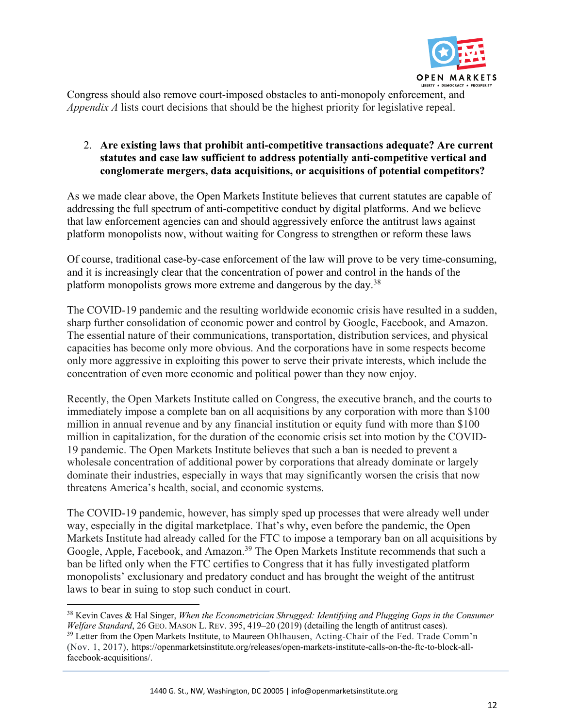

Congress should also remove court-imposed obstacles to anti-monopoly enforcement, and *Appendix A* lists court decisions that should be the highest priority for legislative repeal.

# 2. **Are existing laws that prohibit anti-competitive transactions adequate? Are current statutes and case law sufficient to address potentially anti-competitive vertical and conglomerate mergers, data acquisitions, or acquisitions of potential competitors?**

As we made clear above, the Open Markets Institute believes that current statutes are capable of addressing the full spectrum of anti-competitive conduct by digital platforms. And we believe that law enforcement agencies can and should aggressively enforce the antitrust laws against platform monopolists now, without waiting for Congress to strengthen or reform these laws

Of course, traditional case-by-case enforcement of the law will prove to be very time-consuming, and it is increasingly clear that the concentration of power and control in the hands of the platform monopolists grows more extreme and dangerous by the day.38

The COVID-19 pandemic and the resulting worldwide economic crisis have resulted in a sudden, sharp further consolidation of economic power and control by Google, Facebook, and Amazon. The essential nature of their communications, transportation, distribution services, and physical capacities has become only more obvious. And the corporations have in some respects become only more aggressive in exploiting this power to serve their private interests, which include the concentration of even more economic and political power than they now enjoy.

Recently, the Open Markets Institute called on Congress, the executive branch, and the courts to immediately impose a complete ban on all acquisitions by any corporation with more than \$100 million in annual revenue and by any financial institution or equity fund with more than \$100 million in capitalization, for the duration of the economic crisis set into motion by the COVID-19 pandemic. The Open Markets Institute believes that such a ban is needed to prevent a wholesale concentration of additional power by corporations that already dominate or largely dominate their industries, especially in ways that may significantly worsen the crisis that now threatens America's health, social, and economic systems.

The COVID-19 pandemic, however, has simply sped up processes that were already well under way, especially in the digital marketplace. That's why, even before the pandemic, the Open Markets Institute had already called for the FTC to impose a temporary ban on all acquisitions by Google, Apple, Facebook, and Amazon.<sup>39</sup> The Open Markets Institute recommends that such a ban be lifted only when the FTC certifies to Congress that it has fully investigated platform monopolists' exclusionary and predatory conduct and has brought the weight of the antitrust laws to bear in suing to stop such conduct in court.

<sup>38</sup> Kevin Caves & Hal Singer, *When the Econometrician Shrugged: Identifying and Plugging Gaps in the Consumer Welfare Standard*, 26 GEO. MASON L. REV. 395, 419–20 (2019) (detailing the length of antitrust cases). <sup>39</sup> Letter from the Open Markets Institute, to Maureen Ohlhausen, Acting-Chair of the Fed. Trade Comm'n (Nov. 1, 2017), https://openmarketsinstitute.org/releases/open-markets-institute-calls-on-the-ftc-to-block-allfacebook-acquisitions/.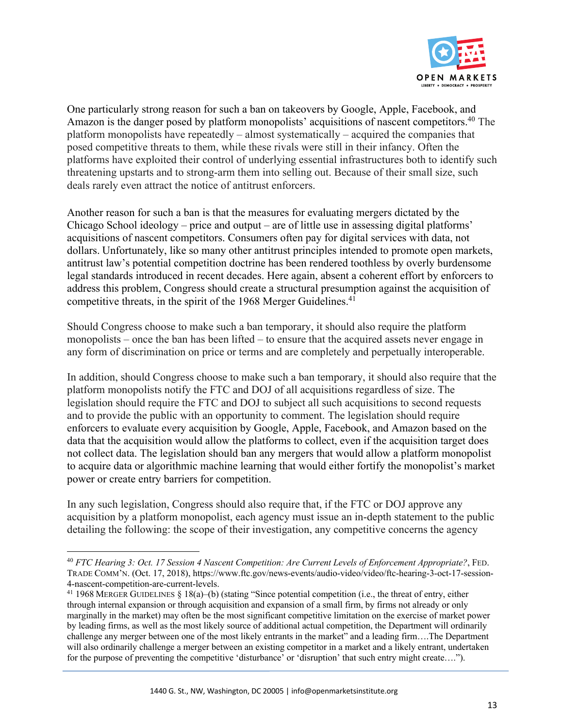

One particularly strong reason for such a ban on takeovers by Google, Apple, Facebook, and Amazon is the danger posed by platform monopolists' acquisitions of nascent competitors.<sup>40</sup> The platform monopolists have repeatedly – almost systematically – acquired the companies that posed competitive threats to them, while these rivals were still in their infancy. Often the platforms have exploited their control of underlying essential infrastructures both to identify such threatening upstarts and to strong-arm them into selling out. Because of their small size, such deals rarely even attract the notice of antitrust enforcers.

Another reason for such a ban is that the measures for evaluating mergers dictated by the Chicago School ideology – price and output – are of little use in assessing digital platforms' acquisitions of nascent competitors. Consumers often pay for digital services with data, not dollars. Unfortunately, like so many other antitrust principles intended to promote open markets, antitrust law's potential competition doctrine has been rendered toothless by overly burdensome legal standards introduced in recent decades. Here again, absent a coherent effort by enforcers to address this problem, Congress should create a structural presumption against the acquisition of competitive threats, in the spirit of the 1968 Merger Guidelines.<sup>41</sup>

Should Congress choose to make such a ban temporary, it should also require the platform monopolists – once the ban has been lifted – to ensure that the acquired assets never engage in any form of discrimination on price or terms and are completely and perpetually interoperable.

In addition, should Congress choose to make such a ban temporary, it should also require that the platform monopolists notify the FTC and DOJ of all acquisitions regardless of size. The legislation should require the FTC and DOJ to subject all such acquisitions to second requests and to provide the public with an opportunity to comment. The legislation should require enforcers to evaluate every acquisition by Google, Apple, Facebook, and Amazon based on the data that the acquisition would allow the platforms to collect, even if the acquisition target does not collect data. The legislation should ban any mergers that would allow a platform monopolist to acquire data or algorithmic machine learning that would either fortify the monopolist's market power or create entry barriers for competition.

In any such legislation, Congress should also require that, if the FTC or DOJ approve any acquisition by a platform monopolist, each agency must issue an in-depth statement to the public detailing the following: the scope of their investigation, any competitive concerns the agency

<sup>40</sup> *FTC Hearing 3: Oct. 17 Session 4 Nascent Competition: Are Current Levels of Enforcement Appropriate?*, FED. TRADE COMM'N. (Oct. 17, 2018), https://www.ftc.gov/news-events/audio-video/video/ftc-hearing-3-oct-17-session-4-nascent-competition-are-current-levels.

<sup>&</sup>lt;sup>41</sup> 1968 MERGER GUIDELINES § 18(a)–(b) (stating "Since potential competition (i.e., the threat of entry, either through internal expansion or through acquisition and expansion of a small firm, by firms not already or only marginally in the market) may often be the most significant competitive limitation on the exercise of market power by leading firms, as well as the most likely source of additional actual competition, the Department will ordinarily challenge any merger between one of the most likely entrants in the market" and a leading firm….The Department will also ordinarily challenge a merger between an existing competitor in a market and a likely entrant, undertaken for the purpose of preventing the competitive 'disturbance' or 'disruption' that such entry might create….").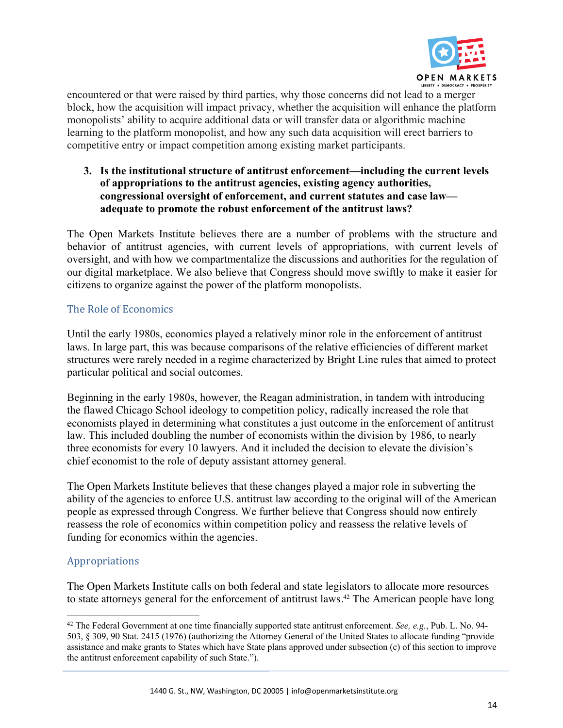

encountered or that were raised by third parties, why those concerns did not lead to a merger block, how the acquisition will impact privacy, whether the acquisition will enhance the platform monopolists' ability to acquire additional data or will transfer data or algorithmic machine learning to the platform monopolist, and how any such data acquisition will erect barriers to competitive entry or impact competition among existing market participants.

**3. Is the institutional structure of antitrust enforcement—including the current levels of appropriations to the antitrust agencies, existing agency authorities, congressional oversight of enforcement, and current statutes and case law adequate to promote the robust enforcement of the antitrust laws?**

The Open Markets Institute believes there are a number of problems with the structure and behavior of antitrust agencies, with current levels of appropriations, with current levels of oversight, and with how we compartmentalize the discussions and authorities for the regulation of our digital marketplace. We also believe that Congress should move swiftly to make it easier for citizens to organize against the power of the platform monopolists.

## The Role of Economics

Until the early 1980s, economics played a relatively minor role in the enforcement of antitrust laws. In large part, this was because comparisons of the relative efficiencies of different market structures were rarely needed in a regime characterized by Bright Line rules that aimed to protect particular political and social outcomes.

Beginning in the early 1980s, however, the Reagan administration, in tandem with introducing the flawed Chicago School ideology to competition policy, radically increased the role that economists played in determining what constitutes a just outcome in the enforcement of antitrust law. This included doubling the number of economists within the division by 1986, to nearly three economists for every 10 lawyers. And it included the decision to elevate the division's chief economist to the role of deputy assistant attorney general.

The Open Markets Institute believes that these changes played a major role in subverting the ability of the agencies to enforce U.S. antitrust law according to the original will of the American people as expressed through Congress. We further believe that Congress should now entirely reassess the role of economics within competition policy and reassess the relative levels of funding for economics within the agencies.

# Appropriations

The Open Markets Institute calls on both federal and state legislators to allocate more resources to state attorneys general for the enforcement of antitrust laws.<sup>42</sup> The American people have long

<sup>42</sup> The Federal Government at one time financially supported state antitrust enforcement. *See, e.g.*, Pub. L. No. 94- 503, § 309, 90 Stat. 2415 (1976) (authorizing the Attorney General of the United States to allocate funding "provide assistance and make grants to States which have State plans approved under subsection (c) of this section to improve the antitrust enforcement capability of such State.").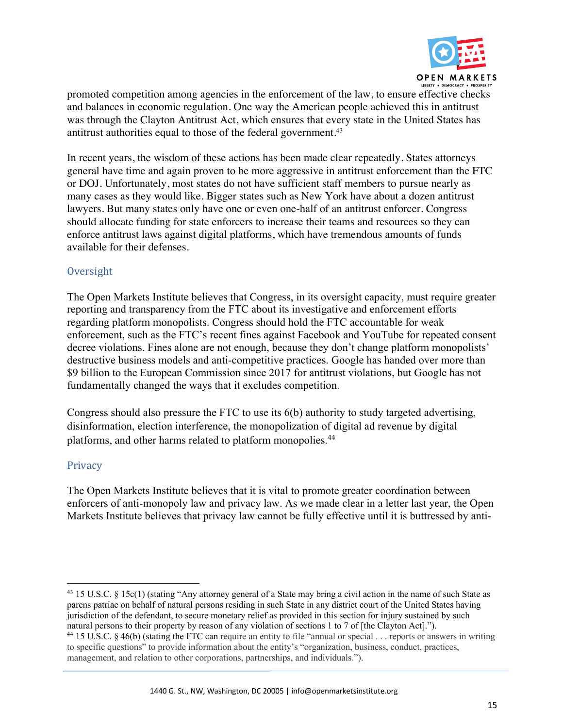

promoted competition among agencies in the enforcement of the law, to ensure effective checks and balances in economic regulation. One way the American people achieved this in antitrust was through the Clayton Antitrust Act, which ensures that every state in the United States has antitrust authorities equal to those of the federal government.<sup>43</sup>

In recent years, the wisdom of these actions has been made clear repeatedly. States attorneys general have time and again proven to be more aggressive in antitrust enforcement than the FTC or DOJ. Unfortunately, most states do not have sufficient staff members to pursue nearly as many cases as they would like. Bigger states such as New York have about a dozen antitrust lawyers. But many states only have one or even one-half of an antitrust enforcer. Congress should allocate funding for state enforcers to increase their teams and resources so they can enforce antitrust laws against digital platforms, which have tremendous amounts of funds available for their defenses.

## **Oversight**

The Open Markets Institute believes that Congress, in its oversight capacity, must require greater reporting and transparency from the FTC about its investigative and enforcement efforts regarding platform monopolists. Congress should hold the FTC accountable for weak enforcement, such as the FTC's recent fines against Facebook and YouTube for repeated consent decree violations. Fines alone are not enough, because they don't change platform monopolists' destructive business models and anti-competitive practices. Google has handed over more than \$9 billion to the European Commission since 2017 for antitrust violations, but Google has not fundamentally changed the ways that it excludes competition.

Congress should also pressure the FTC to use its 6(b) authority to study targeted advertising, disinformation, election interference, the monopolization of digital ad revenue by digital platforms, and other harms related to platform monopolies.44

## Privacy

The Open Markets Institute believes that it is vital to promote greater coordination between enforcers of anti-monopoly law and privacy law. As we made clear in a letter last year, the Open Markets Institute believes that privacy law cannot be fully effective until it is buttressed by anti-

<sup>&</sup>lt;sup>43</sup> 15 U.S.C. § 15c(1) (stating "Any attorney general of a State may bring a civil action in the name of such State as parens patriae on behalf of natural persons residing in such State in any district court of the United States having jurisdiction of the defendant, to secure monetary relief as provided in this section for injury sustained by such natural persons to their property by reason of any violation of sections 1 to 7 of [the Clayton Act].").

<sup>44</sup> 15 U.S.C. § 46(b) (stating the FTC can require an entity to file "annual or special . . . reports or answers in writing to specific questions" to provide information about the entity's "organization, business, conduct, practices, management, and relation to other corporations, partnerships, and individuals.").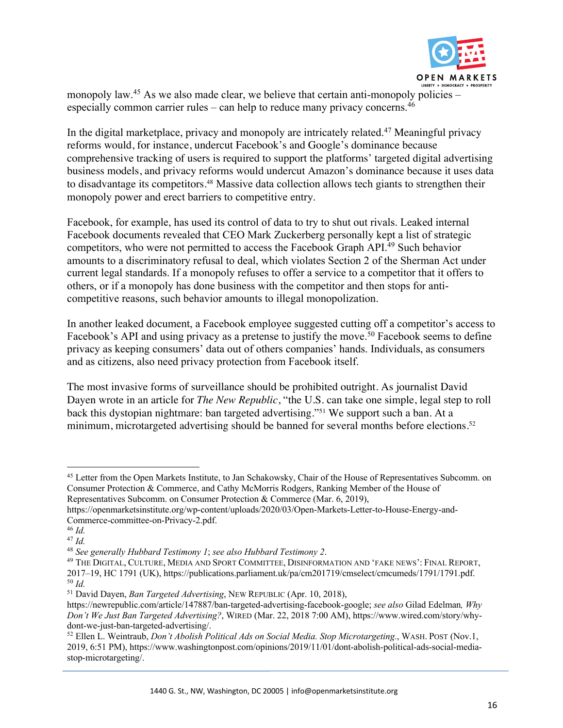

monopoly law.<sup>45</sup> As we also made clear, we believe that certain anti-monopoly policies – especially common carrier rules – can help to reduce many privacy concerns.<sup>46</sup>

In the digital marketplace, privacy and monopoly are intricately related.47 Meaningful privacy reforms would, for instance, undercut Facebook's and Google's dominance because comprehensive tracking of users is required to support the platforms' targeted digital advertising business models, and privacy reforms would undercut Amazon's dominance because it uses data to disadvantage its competitors.<sup>48</sup> Massive data collection allows tech giants to strengthen their monopoly power and erect barriers to competitive entry.

Facebook, for example, has used its control of data to try to shut out rivals. Leaked internal Facebook documents revealed that CEO Mark Zuckerberg personally kept a list of strategic competitors, who were not permitted to access the Facebook Graph API.49 Such behavior amounts to a discriminatory refusal to deal, which violates Section 2 of the Sherman Act under current legal standards. If a monopoly refuses to offer a service to a competitor that it offers to others, or if a monopoly has done business with the competitor and then stops for anticompetitive reasons, such behavior amounts to illegal monopolization.

In another leaked document, a Facebook employee suggested cutting off a competitor's access to Facebook's API and using privacy as a pretense to justify the move.<sup>50</sup> Facebook seems to define privacy as keeping consumers' data out of others companies' hands. Individuals, as consumers and as citizens, also need privacy protection from Facebook itself.

The most invasive forms of surveillance should be prohibited outright. As journalist David Dayen wrote in an article for *The New Republic*, "the U.S. can take one simple, legal step to roll back this dystopian nightmare: ban targeted advertising."51 We support such a ban. At a minimum, microtargeted advertising should be banned for several months before elections.<sup>52</sup>

<sup>&</sup>lt;sup>45</sup> Letter from the Open Markets Institute, to Jan Schakowsky, Chair of the House of Representatives Subcomm. on Consumer Protection & Commerce, and Cathy McMorris Rodgers, Ranking Member of the House of Representatives Subcomm. on Consumer Protection & Commerce (Mar. 6, 2019),

https://openmarketsinstitute.org/wp-content/uploads/2020/03/Open-Markets-Letter-to-House-Energy-and-Commerce-committee-on-Privacy-2.pdf.

<sup>46</sup> *Id.*

<sup>&</sup>lt;sup>47</sup> Id.<br><sup>48</sup> See generally Hubbard Testimony 1; see also Hubbard Testimony 2.

<sup>48</sup> *See generally Hubbard Testimony 1*; *see also Hubbard Testimony 2*. 49 THE DIGITAL, CULTURE, MEDIA AND SPORT COMMITTEE, DISINFORMATION AND 'FAKE NEWS': FINAL REPORT, 2017–19, HC 1791 (UK), https://publications.parliament.uk/pa/cm201719/cmselect/cmcumeds/1791/1791.pdf. <sup>50</sup> *Id.*

<sup>51</sup> David Dayen, *Ban Targeted Advertising*, NEW REPUBLIC (Apr. 10, 2018),

https://newrepublic.com/article/147887/ban-targeted-advertising-facebook-google; *see also* Gilad Edelman*, Why Don't We Just Ban Targeted Advertising?*, WIRED (Mar. 22, 2018 7:00 AM), https://www.wired.com/story/whydont-we-just-ban-targeted-advertising/.

<sup>52</sup> Ellen L. Weintraub, *Don't Abolish Political Ads on Social Media. Stop Microtargeting.*, WASH. POST (Nov.1, 2019, 6:51 PM), https://www.washingtonpost.com/opinions/2019/11/01/dont-abolish-political-ads-social-mediastop-microtargeting/.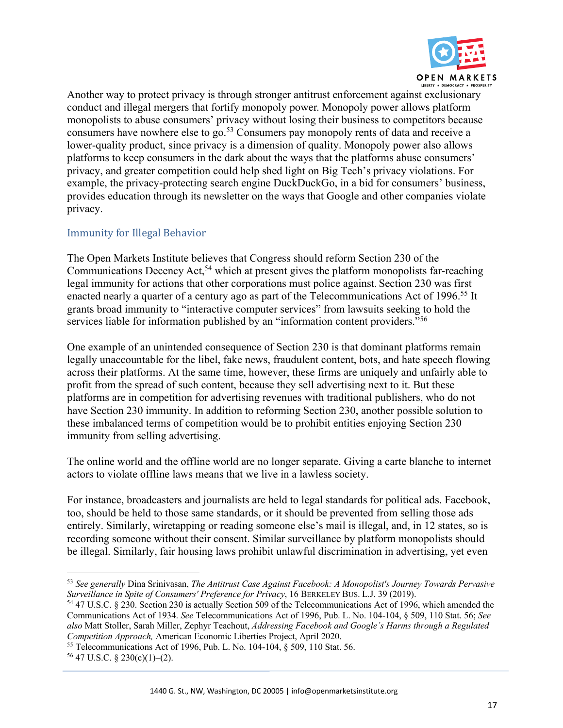

Another way to protect privacy is through stronger antitrust enforcement against exclusionary conduct and illegal mergers that fortify monopoly power. Monopoly power allows platform monopolists to abuse consumers' privacy without losing their business to competitors because consumers have nowhere else to go.<sup>53</sup> Consumers pay monopoly rents of data and receive a lower-quality product, since privacy is a dimension of quality. Monopoly power also allows platforms to keep consumers in the dark about the ways that the platforms abuse consumers' privacy, and greater competition could help shed light on Big Tech's privacy violations. For example, the privacy-protecting search engine DuckDuckGo, in a bid for consumers' business, provides education through its newsletter on the ways that Google and other companies violate privacy.

# Immunity for Illegal Behavior

The Open Markets Institute believes that Congress should reform Section 230 of the Communications Decency Act,<sup>54</sup> which at present gives the platform monopolists far-reaching legal immunity for actions that other corporations must police against. Section 230 was first enacted nearly a quarter of a century ago as part of the Telecommunications Act of 1996.<sup>55</sup> It grants broad immunity to "interactive computer services" from lawsuits seeking to hold the services liable for information published by an "information content providers."<sup>56</sup>

One example of an unintended consequence of Section 230 is that dominant platforms remain legally unaccountable for the libel, fake news, fraudulent content, bots, and hate speech flowing across their platforms. At the same time, however, these firms are uniquely and unfairly able to profit from the spread of such content, because they sell advertising next to it. But these platforms are in competition for advertising revenues with traditional publishers, who do not have Section 230 immunity. In addition to reforming Section 230, another possible solution to these imbalanced terms of competition would be to prohibit entities enjoying Section 230 immunity from selling advertising.

The online world and the offline world are no longer separate. Giving a carte blanche to internet actors to violate offline laws means that we live in a lawless society.

For instance, broadcasters and journalists are held to legal standards for political ads. Facebook, too, should be held to those same standards, or it should be prevented from selling those ads entirely. Similarly, wiretapping or reading someone else's mail is illegal, and, in 12 states, so is recording someone without their consent. Similar surveillance by platform monopolists should be illegal. Similarly, fair housing laws prohibit unlawful discrimination in advertising, yet even

<sup>53</sup> *See generally* Dina Srinivasan, *The Antitrust Case Against Facebook: A Monopolist's Journey Towards Pervasive Surveillance in Spite of Consumers' Preference for Privacy*, 16 BERKELEY BUS. L.J. 39 (2019).

<sup>54</sup> 47 U.S.C. § 230. Section 230 is actually Section 509 of the Telecommunications Act of 1996, which amended the Communications Act of 1934. *See* Telecommunications Act of 1996, Pub. L. No. 104-104, § 509, 110 Stat. 56; *See also* Matt Stoller, Sarah Miller, Zephyr Teachout, *Addressing Facebook and Google's Harms through a Regulated Competition Approach,* American Economic Liberties Project, April 2020.

<sup>55</sup> Telecommunications Act of 1996, Pub. L. No. 104-104, § 509, 110 Stat. 56.

 $56$  47 U.S.C. § 230(c)(1)–(2).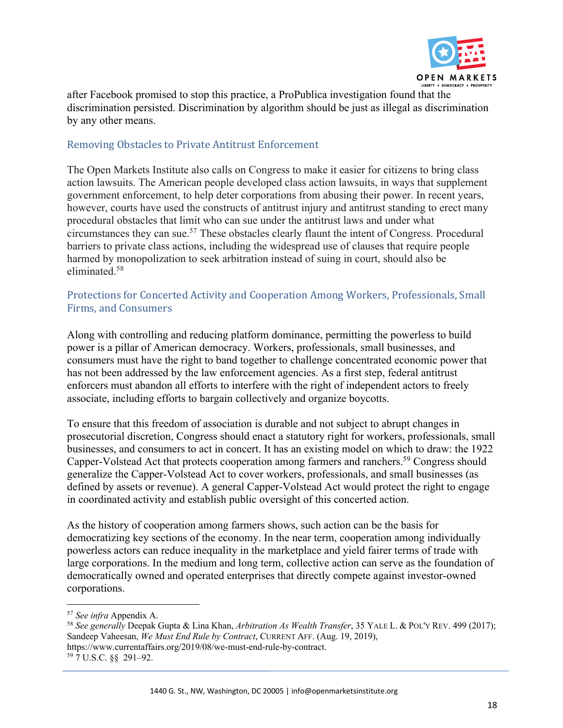

after Facebook promised to stop this practice, a ProPublica investigation found that the discrimination persisted. Discrimination by algorithm should be just as illegal as discrimination by any other means.

# Removing Obstacles to Private Antitrust Enforcement

The Open Markets Institute also calls on Congress to make it easier for citizens to bring class action lawsuits. The American people developed class action lawsuits, in ways that supplement government enforcement, to help deter corporations from abusing their power. In recent years, however, courts have used the constructs of antitrust injury and antitrust standing to erect many procedural obstacles that limit who can sue under the antitrust laws and under what circumstances they can sue.57 These obstacles clearly flaunt the intent of Congress. Procedural barriers to private class actions, including the widespread use of clauses that require people harmed by monopolization to seek arbitration instead of suing in court, should also be eliminated.58

## Protections for Concerted Activity and Cooperation Among Workers, Professionals, Small Firms, and Consumers

Along with controlling and reducing platform dominance, permitting the powerless to build power is a pillar of American democracy. Workers, professionals, small businesses, and consumers must have the right to band together to challenge concentrated economic power that has not been addressed by the law enforcement agencies. As a first step, federal antitrust enforcers must abandon all efforts to interfere with the right of independent actors to freely associate, including efforts to bargain collectively and organize boycotts.

To ensure that this freedom of association is durable and not subject to abrupt changes in prosecutorial discretion, Congress should enact a statutory right for workers, professionals, small businesses, and consumers to act in concert. It has an existing model on which to draw: the 1922 Capper-Volstead Act that protects cooperation among farmers and ranchers.<sup>59</sup> Congress should generalize the Capper-Volstead Act to cover workers, professionals, and small businesses (as defined by assets or revenue). A general Capper-Volstead Act would protect the right to engage in coordinated activity and establish public oversight of this concerted action.

As the history of cooperation among farmers shows, such action can be the basis for democratizing key sections of the economy. In the near term, cooperation among individually powerless actors can reduce inequality in the marketplace and yield fairer terms of trade with large corporations. In the medium and long term, collective action can serve as the foundation of democratically owned and operated enterprises that directly compete against investor-owned corporations.

<sup>57</sup> *See infra* Appendix A.

<sup>58</sup> *See generally* Deepak Gupta & Lina Khan, *Arbitration As Wealth Transfer*, 35 YALE L. & POL'Y REV. 499 (2017); Sandeep Vaheesan, *We Must End Rule by Contract*, CURRENT AFF. (Aug. 19, 2019), https://www.currentaffairs.org/2019/08/we-must-end-rule-by-contract.

<sup>59</sup> 7 U.S.C. §§ 291–92.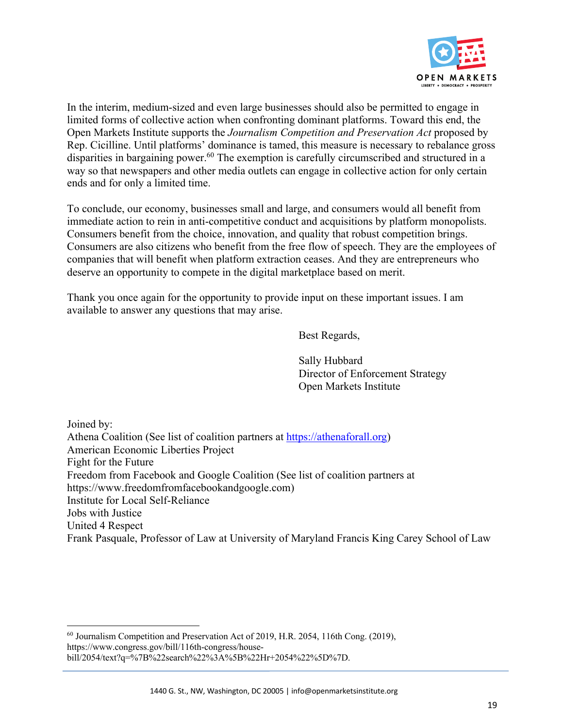

In the interim, medium-sized and even large businesses should also be permitted to engage in limited forms of collective action when confronting dominant platforms. Toward this end, the Open Markets Institute supports the *Journalism Competition and Preservation Act* proposed by Rep. Cicilline. Until platforms' dominance is tamed, this measure is necessary to rebalance gross disparities in bargaining power.<sup>60</sup> The exemption is carefully circumscribed and structured in a way so that newspapers and other media outlets can engage in collective action for only certain ends and for only a limited time.

To conclude, our economy, businesses small and large, and consumers would all benefit from immediate action to rein in anti-competitive conduct and acquisitions by platform monopolists. Consumers benefit from the choice, innovation, and quality that robust competition brings. Consumers are also citizens who benefit from the free flow of speech. They are the employees of companies that will benefit when platform extraction ceases. And they are entrepreneurs who deserve an opportunity to compete in the digital marketplace based on merit.

Thank you once again for the opportunity to provide input on these important issues. I am available to answer any questions that may arise.

Best Regards,

Sally Hubbard Director of Enforcement Strategy Open Markets Institute

Joined by:

Athena Coalition (See list of coalition partners at https://athenaforall.org) American Economic Liberties Project Fight for the Future Freedom from Facebook and Google Coalition (See list of coalition partners at https://www.freedomfromfacebookandgoogle.com) Institute for Local Self-Reliance Jobs with Justice United 4 Respect Frank Pasquale, Professor of Law at University of Maryland Francis King Carey School of Law

<sup>60</sup> Journalism Competition and Preservation Act of 2019, H.R. 2054, 116th Cong. (2019), https://www.congress.gov/bill/116th-congress/housebill/2054/text?q=%7B%22search%22%3A%5B%22Hr+2054%22%5D%7D.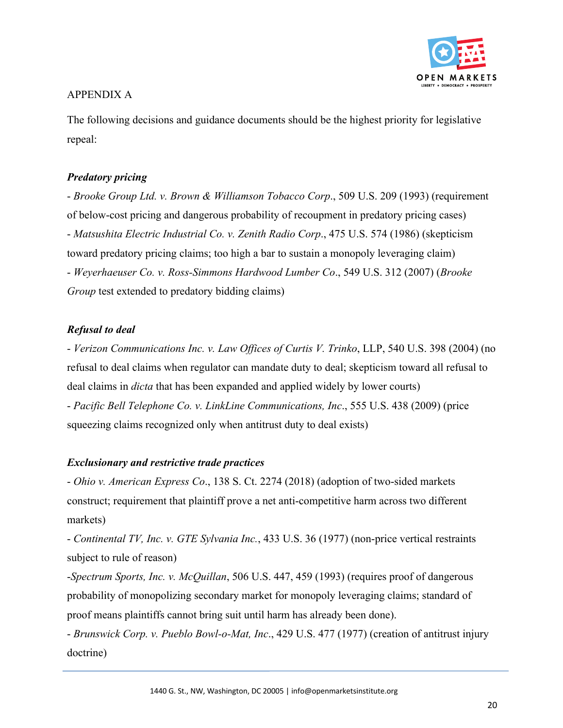

# APPENDIX A

The following decisions and guidance documents should be the highest priority for legislative repeal:

# *Predatory pricing*

- *Brooke Group Ltd. v. Brown & Williamson Tobacco Corp*., 509 U.S. 209 (1993) (requirement of below-cost pricing and dangerous probability of recoupment in predatory pricing cases) - *Matsushita Electric Industrial Co. v. Zenith Radio Corp*., 475 U.S. 574 (1986) (skepticism toward predatory pricing claims; too high a bar to sustain a monopoly leveraging claim) - *Weyerhaeuser Co. v. Ross-Simmons Hardwood Lumber Co*., 549 U.S. 312 (2007) (*Brooke Group* test extended to predatory bidding claims)

# *Refusal to deal*

- *Verizon Communications Inc. v. Law Offices of Curtis V. Trinko*, LLP, 540 U.S. 398 (2004) (no refusal to deal claims when regulator can mandate duty to deal; skepticism toward all refusal to deal claims in *dicta* that has been expanded and applied widely by lower courts) - *Pacific Bell Telephone Co. v. LinkLine Communications, Inc*., 555 U.S. 438 (2009) (price squeezing claims recognized only when antitrust duty to deal exists)

## *Exclusionary and restrictive trade practices*

- *Ohio v. American Express Co*., 138 S. Ct. 2274 (2018) (adoption of two-sided markets construct; requirement that plaintiff prove a net anti-competitive harm across two different markets)

- *Continental TV, Inc. v. GTE Sylvania Inc.*, 433 U.S. 36 (1977) (non-price vertical restraints subject to rule of reason)

-*Spectrum Sports, Inc. v. McQuillan*, 506 U.S. 447, 459 (1993) (requires proof of dangerous probability of monopolizing secondary market for monopoly leveraging claims; standard of proof means plaintiffs cannot bring suit until harm has already been done).

- *Brunswick Corp. v. Pueblo Bowl-o-Mat, Inc*., 429 U.S. 477 (1977) (creation of antitrust injury doctrine)